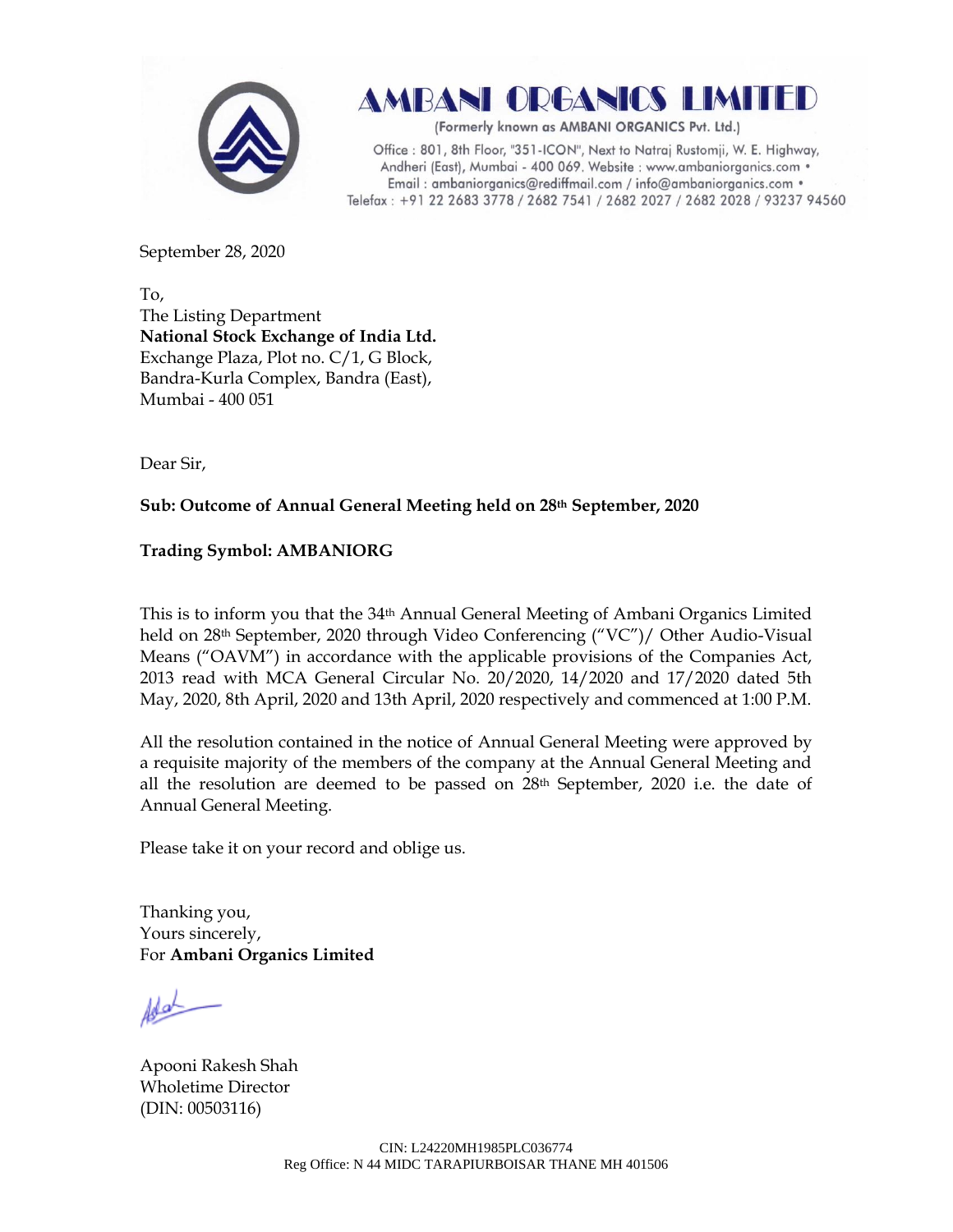

AMBANI ORGANICS LIMITED

(Formerly known as AMBANI ORGANICS Pvt. Ltd.)

Office: 801, 8th Floor, "351-ICON", Next to Natraj Rustomji, W. E. Highway, Andheri (East), Mumbai - 400 069. Website : www.ambaniorganics.com • Email: ambaniorganics@rediffmail.com / info@ambaniorganics.com . Telefax: +91 22 2683 3778 / 2682 7541 / 2682 2027 / 2682 2028 / 93237 94560

September 28, 2020

To, The Listing Department **National Stock Exchange of India Ltd.** Exchange Plaza, Plot no. C/1, G Block, Bandra-Kurla Complex, Bandra (East), Mumbai - 400 051

Dear Sir,

## **Sub: Outcome of Annual General Meeting held on 28th September, 2020**

## **Trading Symbol: AMBANIORG**

This is to inform you that the 34<sup>th</sup> Annual General Meeting of Ambani Organics Limited held on 28th September, 2020 through Video Conferencing ("VC")/ Other Audio-Visual Means ("OAVM") in accordance with the applicable provisions of the Companies Act, 2013 read with MCA General Circular No. 20/2020, 14/2020 and 17/2020 dated 5th May, 2020, 8th April, 2020 and 13th April, 2020 respectively and commenced at 1:00 P.M.

All the resolution contained in the notice of Annual General Meeting were approved by a requisite majority of the members of the company at the Annual General Meeting and all the resolution are deemed to be passed on  $28<sup>th</sup>$  September, 2020 i.e. the date of Annual General Meeting.

Please take it on your record and oblige us.

Thanking you, Yours sincerely, For **Ambani Organics Limited**

Apooni Rakesh Shah Wholetime Director (DIN: [00503116\)](http://www.mca.gov.in/mcafoportal/companyLLPMasterData.do)